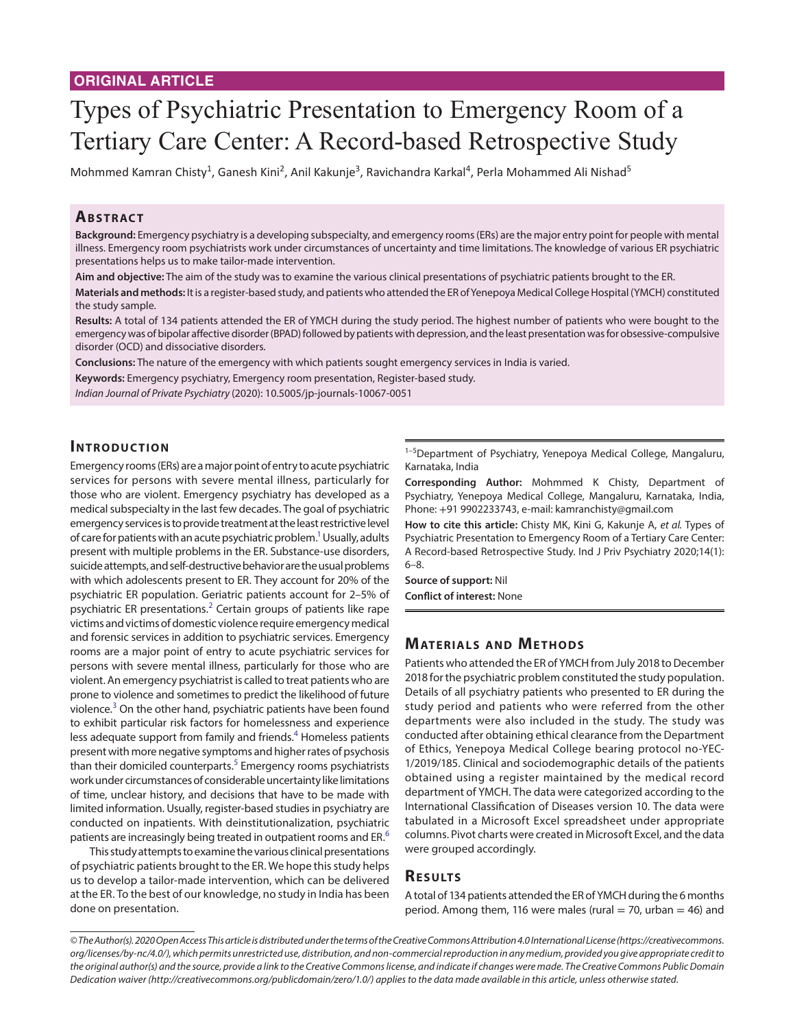# <span id="page-0-0"></span>Types of Psychiatric Presentation to Emergency Room of a Tertiary Care Center: A Record-based Retrospective Study

Mohmmed Kamran Chisty<sup>1</sup>, Ganesh Kini<sup>2</sup>, Anil Kakunje<sup>3</sup>, Ravichandra Karkal<sup>4</sup>, Perla Mohammed Ali Nishad<sup>5</sup>

# **ABSTRACT**

**Background:** Emergency psychiatry is a developing subspecialty, and emergency rooms (ERs) are the major entry point for people with mental illness. Emergency room psychiatrists work under circumstances of uncertainty and time limitations. The knowledge of various ER psychiatric presentations helps us to make tailor-made intervention.

**Aim and objective:** The aim of the study was to examine the various clinical presentations of psychiatric patients brought to the ER.

**Materials and methods:** It is a register-based study, and patients who attended the ER of Yenepoya Medical College Hospital (YMCH) constituted the study sample.

**Results:** A total of 134 patients attended the ER of YMCH during the study period. The highest number of patients who were bought to the emergency was of bipolar affective disorder (BPAD) followed by patients with depression, and the least presentation was for obsessive-compulsive disorder (OCD) and dissociative disorders.

**Conclusions:** The nature of the emergency with which patients sought emergency services in India is varied.

**Keywords:** Emergency psychiatry, Emergency room presentation, Register-based study.

*Indian Journal of Private Psychiatry* (2020): 10.5005/jp-journals-10067-0051

#### **INTRODUCTION**

Emergency rooms (ERs) are a major point of entry to acute psychiatric services for persons with severe mental illness, particularly for those who are violent. Emergency psychiatry has developed as a medical subspecialty in the last few decades. The goal of psychiatric emergency services is to provide treatment at the least restrictive level of care for patients with an acute psychiatric problem.<sup>1</sup> Usually, adults present with multiple problems in the ER. Substance-use disorders, suicide attempts, and self-destructive behavior are the usual problems with which adolescents present to ER. They account for 20% of the psychiatric ER population. Geriatric patients account for 2–5% of psychiatric ER presentations.<sup>[2](#page-2-0)</sup> Certain groups of patients like rape victims and victims of domestic violence require emergency medical and forensic services in addition to psychiatric services. Emergency rooms are a major point of entry to acute psychiatric services for persons with severe mental illness, particularly for those who are violent. An emergency psychiatrist is called to treat patients who are prone to violence and sometimes to predict the likelihood of future violence.<sup>[3](#page-2-0)</sup> On the other hand, psychiatric patients have been found to exhibit particular risk factors for homelessness and experience less adequate support from family and friends.<sup>4</sup> Homeless patients present with more negative symptoms and higher rates of psychosis than their domiciled counterparts.<sup>[5](#page-2-0)</sup> Emergency rooms psychiatrists work under circumstances of considerable uncertainty like limitations of time, unclear history, and decisions that have to be made with limited information. Usually, register-based studies in psychiatry are conducted on inpatients. With deinstitutionalization, psychiatric patients are increasingly being treated in outpatient rooms and ER.<sup>[6](#page-2-0)</sup>

This study attempts to examine the various clinical presentations of psychiatric patients brought to the ER. We hope this study helps us to develop a tailor-made intervention, which can be delivered at the ER. To the best of our knowledge, no study in India has been done on presentation.

<sup>1-5</sup>Department of Psychiatry, Yenepoya Medical College, Mangaluru, Karnataka, India

**Corresponding Author:** Mohmmed K Chisty, Department of Psychiatry, Yenepoya Medical College, Mangaluru, Karnataka, India, Phone: +91 9902233743, e-mail: kamranchisty@gmail.com

**How to cite this article:** Chisty MK, Kini G, Kakunje A, *et al.* Types of Psychiatric Presentation to Emergency Room of a Tertiary Care Center: A Record-based Retrospective Study. Ind J Priv Psychiatry 2020;14(1): 6–8.

**Source of support:** Nil

**Conflict of interest:** None

# **MATERIALS AND METHODS**

Patients who attended the ER of YMCH from July 2018 to December 2018 for the psychiatric problem constituted the study population. Details of all psychiatry patients who presented to ER during the study period and patients who were referred from the other departments were also included in the study. The study was conducted after obtaining ethical clearance from the Department of Ethics, Yenepoya Medical College bearing protocol no-YEC-1/2019/185. Clinical and sociodemographic details of the patients obtained using a register maintained by the medical record department of YMCH. The data were categorized according to the International Classification of Diseases version 10. The data were tabulated in a Microsoft Excel spreadsheet under appropriate columns. Pivot charts were created in Microsoft Excel, and the data were grouped accordingly.

#### **Re s u lts**

A total of 134 patients attended the ER of YMCH during the 6 months period. Among them, 116 were males (rural  $=$  70, urban  $=$  46) and

*<sup>©</sup> The Author(s). 2020 Open Access This article is distributed under the terms of the Creative Commons Attribution 4.0 International License (https://creativecommons. org/licenses/by-nc/4.0/), which permits unrestricted use, distribution, and non-commercial reproduction in any medium, provided you give appropriate credit to the original author(s) and the source, provide a link to the Creative Commons license, and indicate if changes were made. The Creative Commons Public Domain Dedication waiver (http://creativecommons.org/publicdomain/zero/1.0/) applies to the data made available in this article, unless otherwise stated.*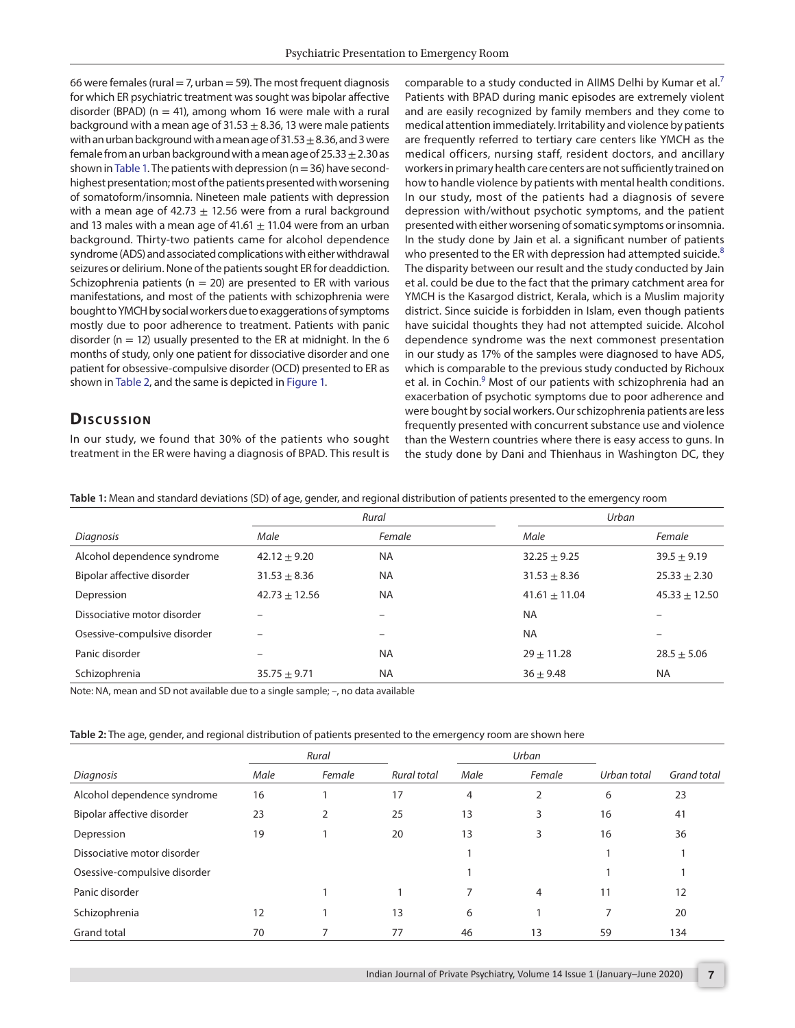<span id="page-1-2"></span>66 were females (rural  $=$  7, urban  $=$  59). The most frequent diagnosis for which ER psychiatric treatment was sought was bipolar affective disorder (BPAD) ( $n = 41$ ), among whom 16 were male with a rural background with a mean age of  $31.53 \pm 8.36$ , 13 were male patients with an urban background with a mean age of  $31.53\pm8.36$ , and 3 were female from an urban background with a mean age of  $25.33 \pm 2.30$  as shown in [Table 1](#page-1-0). The patients with depression ( $n=36$ ) have secondhighest presentation; most of the patients presented with worsening of somatoform/insomnia. Nineteen male patients with depression with a mean age of 42.73  $\pm$  12.56 were from a rural background and 13 males with a mean age of 41.61  $\pm$  11.04 were from an urban background. Thirty-two patients came for alcohol dependence syndrome (ADS) and associated complications with either withdrawal seizures or delirium. None of the patients sought ER for deaddiction. Schizophrenia patients ( $n = 20$ ) are presented to ER with various manifestations, and most of the patients with schizophrenia were bought to YMCH by social workers due to exaggerations of symptoms mostly due to poor adherence to treatment. Patients with panic disorder ( $n = 12$ ) usually presented to the ER at midnight. In the 6 months of study, only one patient for dissociative disorder and one patient for obsessive-compulsive disorder (OCD) presented to ER as shown in [Table 2](#page-1-1), and the same is depicted in [Figure 1](#page-2-1).

### **Dis c u s sio n**

In our study, we found that 30% of the patients who sought treatment in the ER were having a diagnosis of BPAD. This result is

comparable to a study conducted in AIIMS Delhi by Kumar et al.<sup>[7](#page-2-0)</sup> Patients with BPAD during manic episodes are extremely violent and are easily recognized by family members and they come to medical attention immediately. Irritability and violence by patients are frequently referred to tertiary care centers like YMCH as the medical officers, nursing staff, resident doctors, and ancillary workers in primary health care centers are not sufficiently trained on how to handle violence by patients with mental health conditions. In our study, most of the patients had a diagnosis of severe depression with/without psychotic symptoms, and the patient presented with either worsening of somatic symptoms or insomnia. In the study done by Jain et al. a significant number of patients who presented to the ER with depression had attempted suicide.<sup>[8](#page-2-0)</sup> The disparity between our result and the study conducted by Jain et al. could be due to the fact that the primary catchment area for YMCH is the Kasargod district, Kerala, which is a Muslim majority district. Since suicide is forbidden in Islam, even though patients have suicidal thoughts they had not attempted suicide. Alcohol dependence syndrome was the next commonest presentation in our study as 17% of the samples were diagnosed to have ADS, which is comparable to the previous study conducted by Richoux et al. in Cochin.<sup>[9](#page-2-0)</sup> Most of our patients with schizophrenia had an exacerbation of psychotic symptoms due to poor adherence and were bought by social workers. Our schizophrenia patients are less frequently presented with concurrent substance use and violence than the Western countries where there is easy access to guns. In the study done by Dani and Thienhaus in Washington DC, they

<span id="page-1-0"></span>**Table 1:** Mean and standard deviations (SD) of age, gender, and regional distribution of patients presented to the emergency room

|                              | Rural             |           | Urban             |                   |
|------------------------------|-------------------|-----------|-------------------|-------------------|
| Diagnosis                    | Male              | Female    | Male              | Female            |
| Alcohol dependence syndrome  | $42.12 \pm 9.20$  | <b>NA</b> | $32.25 \pm 9.25$  | $39.5 \pm 9.19$   |
| Bipolar affective disorder   | $31.53 + 8.36$    | <b>NA</b> | $31.53 \pm 8.36$  | $25.33 \pm 2.30$  |
| Depression                   | $42.73 \pm 12.56$ | <b>NA</b> | $41.61 \pm 11.04$ | $45.33 \pm 12.50$ |
| Dissociative motor disorder  |                   | -         | <b>NA</b>         |                   |
| Osessive-compulsive disorder |                   |           | <b>NA</b>         |                   |
| Panic disorder               |                   | <b>NA</b> | $29 \pm 11.28$    | $28.5 \pm 5.06$   |
| Schizophrenia                | $35.75 \pm 9.71$  | <b>NA</b> | $36 \pm 9.48$     | NA.               |

Note: NA, mean and SD not available due to a single sample; –, no data available

<span id="page-1-1"></span>

| Table 2: The age, gender, and regional distribution of patients presented to the emergency room are shown here |  |  |
|----------------------------------------------------------------------------------------------------------------|--|--|
|                                                                                                                |  |  |

|                              |      | Rural  |                    | Urban |        |             |             |
|------------------------------|------|--------|--------------------|-------|--------|-------------|-------------|
| Diagnosis                    | Male | Female | <b>Rural total</b> | Male  | Female | Urban total | Grand total |
| Alcohol dependence syndrome  | 16   |        | 17                 | 4     | 2      | 6           | 23          |
| Bipolar affective disorder   | 23   | 2      | 25                 | 13    | 3      | 16          | 41          |
| Depression                   | 19   |        | 20                 | 13    | 3      | 16          | 36          |
| Dissociative motor disorder  |      |        |                    |       |        |             |             |
| Osessive-compulsive disorder |      |        |                    |       |        |             |             |
| Panic disorder               |      |        |                    |       | 4      | 11          | 12          |
| Schizophrenia                | 12   |        | 13                 | 6     |        | 7           | 20          |
| <b>Grand total</b>           | 70   |        | 77                 | 46    | 13     | 59          | 134         |